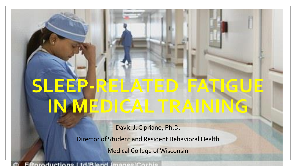# **SLEEP-RELATED FATIGUE IN MEDICAL TRAINING**

David J. Cipriano, Ph.D.

Director of Student and Resident Behavioral Health

Medical College of Wisconsin

**ERproductions Ltd/Rland Improve Corpie**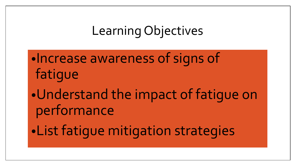## Learning Objectives

•Increase awareness of signs of fatigue •Understand the impact of fatigue on performance •List fatigue mitigation strategies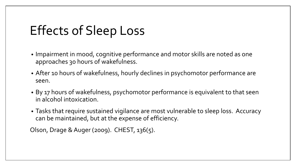## Effects of Sleep Loss

- Impairment in mood, cognitive performance and motor skills are noted as one approaches 30 hours of wakefulness.
- After 10 hours of wakefulness, hourly declines in psychomotor performance are seen.
- By 17 hours of wakefulness, psychomotor performance is equivalent to that seen in alcohol intoxication.
- Tasks that require sustained vigilance are most vulnerable to sleep loss. Accuracy can be maintained, but at the expense of efficiency.

Olson, Drage & Auger (2009). CHEST, 136(5).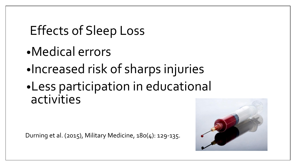## Effects of Sleep Loss

- •Medical errors
- •Increased risk of sharps injuries
- •Less participation in educational activities

Durning et al. (2015), Military Medicine, 180(4): 129-135.

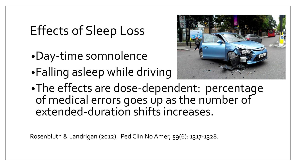## Effects of Sleep Loss

- •Day-time somnolence
- •Falling asleep while driving



•The effects are dose-dependent: percentage of medical errors goes up as the number of extended-duration shifts increases.

Rosenbluth & Landrigan (2012). Ped Clin No Amer, 59(6): 1317-1328.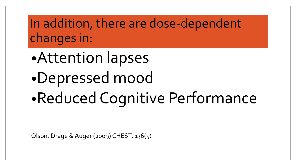In addition, there are dose-dependent changes in:

•Attention lapses

•Depressed mood

•Reduced Cognitive Performance

Olson, Drage & Auger (2009) CHEST, 136(5)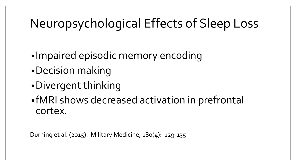## Neuropsychological Effects of Sleep Loss

- •Impaired episodic memory encoding
- •Decision making
- •Divergent thinking
- •fMRI shows decreased activation in prefrontal cortex.

Durning et al. (2015). Military Medicine, 180(4): 129-135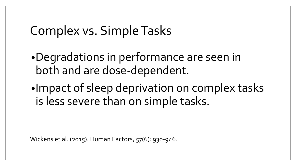#### Complex vs. Simple Tasks

- •Degradations in performance are seen in both and are dose-dependent.
- •Impact of sleep deprivation on complex tasks is less severe than on simple tasks.

Wickens et al. (2015). Human Factors, 57(6): 930-946.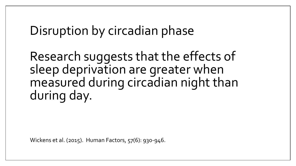#### Disruption by circadian phase

Research suggests that the effects of sleep deprivation are greater when measured during circadian night than during day.

Wickens et al. (2015). Human Factors, 57(6): 930-946.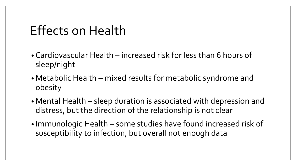#### Effects on Health

- Cardiovascular Health increased risk for less than 6 hours of sleep/night
- Metabolic Health mixed results for metabolic syndrome and obesity
- Mental Health sleep duration is associated with depression and distress, but the direction of the relationship is not clear
- Immunologic Health some studies have found increased risk of susceptibility to infection, but overall not enough data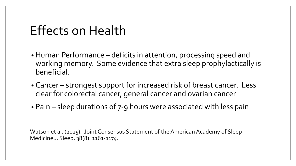#### Effects on Health

- Human Performance deficits in attention, processing speed and working memory. Some evidence that extra sleep prophylactically is beneficial.
- Cancer strongest support for increased risk of breast cancer. Less clear for colorectal cancer, general cancer and ovarian cancer
- Pain sleep durations of 7-9 hours were associated with less pain

Watson et al. (2015). Joint Consensus Statement of the American Academy of Sleep Medicine… Sleep, 38(8): 1161-1174.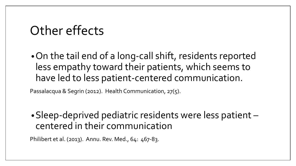#### Other effects

•On the tail end of a long-call shift, residents reported less empathy toward their patients, which seems to have led to less patient-centered communication.

Passalacqua & Segrin (2012). Health Communication, 27(5).

•Sleep-deprived pediatric residents were less patient – centered in their communication

Philibert et al. (2013). Annu. Rev. Med., 64: 467-83.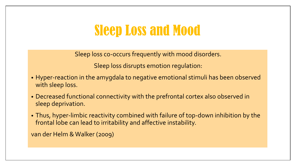## Sleep Loss and Mood

Sleep loss co-occurs frequently with mood disorders.

Sleep loss disrupts emotion regulation:

- Hyper-reaction in the amygdala to negative emotional stimuli has been observed with sleep loss.
- Decreased functional connectivity with the prefrontal cortex also observed in sleep deprivation.
- Thus, hyper-limbic reactivity combined with failure of top-down inhibition by the frontal lobe can lead to irritability and affective instability.

van der Helm & Walker (2009)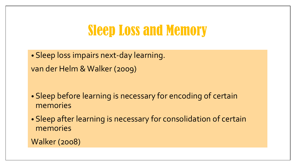## Sleep Loss and Memory

• Sleep loss impairs next-day learning. van der Helm & Walker (2009)

• Sleep before learning is necessary for encoding of certain memories

• Sleep after learning is necessary for consolidation of certain memories

Walker (2008)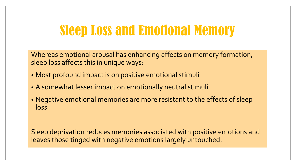## Sleep Loss and Emotional Memory

Whereas emotional arousal has enhancing effects on memory formation, sleep loss affects this in unique ways:

- Most profound impact is on positive emotional stimuli
- A somewhat lesser impact on emotionally neutral stimuli
- Negative emotional memories are more resistant to the effects of sleep loss

Sleep deprivation reduces memories associated with positive emotions and leaves those tinged with negative emotions largely untouched.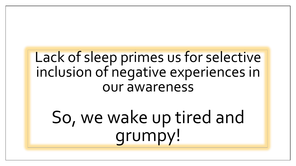## Lack of sleep primes us for selective inclusion of negative experiences in our awareness

So, we wake up tired and grumpy!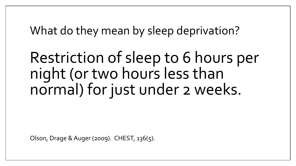What do they mean by sleep deprivation?

Restriction of sleep to 6 hours per night (or two hours less than normal) for just under 2 weeks.

Olson, Drage & Auger (2009). CHEST, 136(5).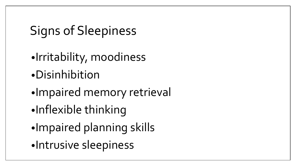# Signs of Sleepiness

- •Irritability, moodiness
- •Disinhibition
- •Impaired memory retrieval
- •Inflexible thinking
- •Impaired planning skills
- •Intrusive sleepiness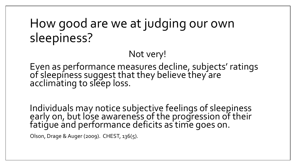## How good are we at judging our own sleepiness?

#### Not very!

Even as performance measures decline, subjects' ratings of sleepiness suggest that they believe they are acclimating to sleep loss.

Individuals may notice subjective feelings of sleepiness early on, but lose awareness of the progression of their fatigue and performance deficits as time goes on.

Olson, Drage & Auger (2009). CHEST, 136(5).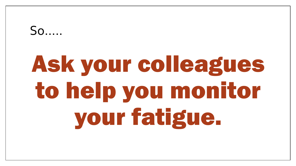#### $SO<sub>2</sub>$

# Ask your colleagues to help you monitor your fatigue.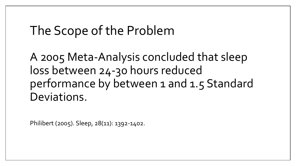#### The Scope of the Problem

A 2005 Meta-Analysis concluded that sleep loss between 24-30 hours reduced performance by between 1 and 1.5 Standard Deviations.

Philibert (2005). Sleep, 28(11): 1392-1402.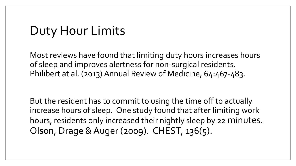## Duty Hour Limits

Most reviews have found that limiting duty hours increases hours of sleep and improves alertness for non-surgical residents. Philibert at al. (2013) Annual Review of Medicine, 64:467-483.

But the resident has to commit to using the time off to actually increase hours of sleep. One study found that after limiting work hours, residents only increased their nightly sleep by 22 minutes. Olson, Drage & Auger (2009). CHEST, 136(5).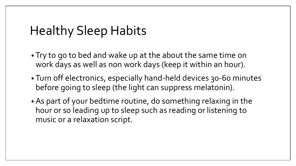#### Healthy Sleep Habits

- Try to go to bed and wake up at the about the same time on work days as well as non work days (keep it within an hour).
- Turn off electronics, especially hand-held devices 30-60 minutes before going to sleep (the light can suppress melatonin).
- As part of your bedtime routine, do something relaxing in the hour or so leading up to sleep such as reading or listening to music or a relaxation script.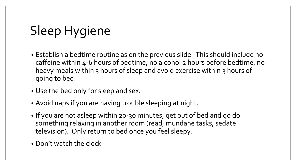# Sleep Hygiene

- Establish a bedtime routine as on the previous slide. This should include no caffeine within 4-6 hours of bedtime, no alcohol 2 hours before bedtime, no heavy meals within 3 hours of sleep and avoid exercise within 3 hours of going to bed.
- Use the bed only for sleep and sex.
- Avoid naps if you are having trouble sleeping at night.
- If you are not asleep within 20-30 minutes, get out of bed and go do something relaxing in another room (read, mundane tasks, sedate television). Only return to bed once you feel sleepy.
- Don't watch the clock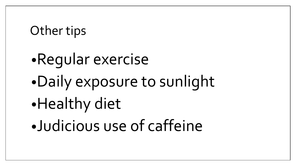#### Other tips

- •Regular exercise •Daily exposure to sunlight •Healthy diet
- •Judicious use of caffeine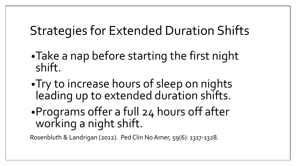## Strategies for Extended Duration Shifts

- •Take a nap before starting the first night shift.
- •Try to increase hours of sleep on nights leading up to extended duration shifts.
- •Programs offer a full 24 hours off after working a night shift.

Rosenbluth & Landrigan (2012). Ped Clin No Amer, 59(6): 1317-1328.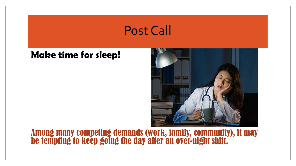#### Post Call

#### **Make time for sleep!**



#### Among many competing demands (work, family, community), it may be tempting to keep going the day after an over-night shift.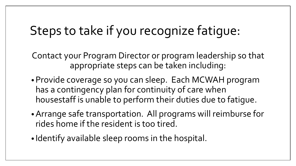## Steps to take if you recognize fatigue:

Contact your Program Director or program leadership so that appropriate steps can be taken including:

- •Provide coverage so you can sleep. Each MCWAH program has a contingency plan for continuity of care when housestaff is unable to perform their duties due to fatigue.
- •Arrange safe transportation. All programs will reimburse for rides home if the resident is too tired.
- Identify available sleep rooms in the hospital.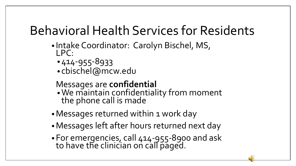## Behavioral Health Services for Residents

- Intake Coordinator: Carolyn Bischel, MS, LPC:
	- •414-955-8933
	- cbischel@mcw.edu

#### Messages are **confidential**

- •We maintain confidentiality from moment the phone call is made
- Messages returned within 1 work day
- •Messages left after hours returned next day
- •For emergencies, call 414-955-8900 and ask to have the clinician on call paged.